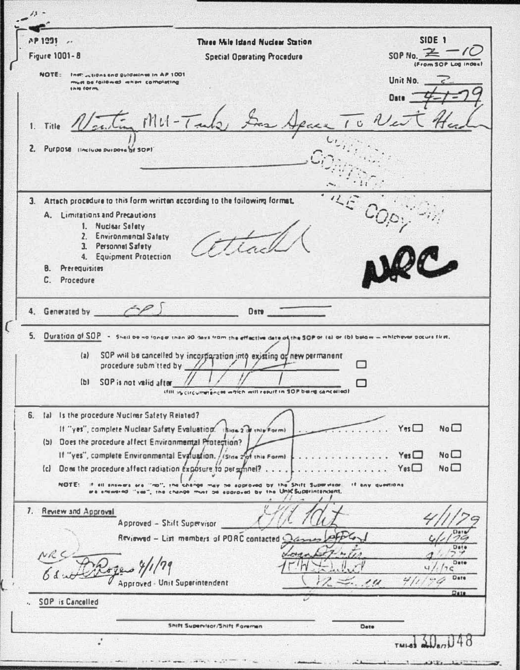| $\lambda$ .                                                                                                                                                                 |                                                                                                                                                                                                                                                                                                               |                                                                                               |
|-----------------------------------------------------------------------------------------------------------------------------------------------------------------------------|---------------------------------------------------------------------------------------------------------------------------------------------------------------------------------------------------------------------------------------------------------------------------------------------------------------|-----------------------------------------------------------------------------------------------|
| <b>7P 1991</b><br>$\overline{\phantom{a}}$                                                                                                                                  | Three Mile Island Nuclear Station                                                                                                                                                                                                                                                                             | SIDE <sub>1</sub>                                                                             |
| <b>Figure 1001-8</b>                                                                                                                                                        | <b>Special Operating Procedure</b>                                                                                                                                                                                                                                                                            | SOP No. $\equiv$                                                                              |
| NOTE:<br>Inst. autons and guidelines in AP 1001<br>must be followed when completing<br><b>INHI FORML</b><br>1. Title                                                        | $1111 - 7$ and $\approx$                                                                                                                                                                                                                                                                                      | Unit No.<br>TO Não                                                                            |
| $\mathbf{z}$<br>Purpose linclude purpose of SOPI                                                                                                                            |                                                                                                                                                                                                                                                                                                               |                                                                                               |
| A. Limitations and Precautions<br>1. Nuclear Salety<br>2. Environmental Safety<br>3. Personnel Safety<br>4. Equipment Protection<br><b>B.</b> Prerequisites<br>C. Procedure | 3. Attach procedure to this form written according to the following format,                                                                                                                                                                                                                                   |                                                                                               |
| 4. Generated by 4.                                                                                                                                                          | Date                                                                                                                                                                                                                                                                                                          |                                                                                               |
| (a)<br>SOP is not valid after<br>(b)                                                                                                                                        | 5. Duration of SOP - Shall be no longer than 90 days from the effective date of the SOP or (a) or (b) below - whichever pocure first,<br>SOP will be cancelled by incorparation into existing or new permanent<br>procedure submitted by //<br>that in circumstances which will reput in SOP being cancelled? |                                                                                               |
| 6. Ial Is the procedure Nuclear Safety Related?<br>(b) Does the procedure affect Environmental Protection?<br>NOTE:<br>If all answers as                                    | If "yes", complete Nuclear Safety Evaluation. Island 2 of this Formi-<br>If "yes", complete Environmental Evaluation. / (Sine 2nd this Form)<br>change may be approved by the Shift Supervisor.<br>$97-0$<br>change must be eporaved by the Unit Superintendent,                                              | No <sub>1</sub><br>Yes<br>Yes<br>No $\square$<br>No $\square$<br>$Y_{es}$<br>If any questions |
| 7. Review and Approval                                                                                                                                                      | Approved - Shift Supervisor<br>Reviewed - List members of PORC contacted<br>Approved - Unit Superintendent                                                                                                                                                                                                    | Dat.<br>Dete<br>Date<br>ን ፎ<br>Date<br>311<br>$-$ . 11<br>$Q$ aig                             |
| <b>SOP</b> is Cancelled                                                                                                                                                     |                                                                                                                                                                                                                                                                                                               |                                                                                               |
| ٠                                                                                                                                                                           | Shift Supervisor/Shift Foreman                                                                                                                                                                                                                                                                                | Dete                                                                                          |
|                                                                                                                                                                             |                                                                                                                                                                                                                                                                                                               |                                                                                               |

J.

 $\mathfrak{c}$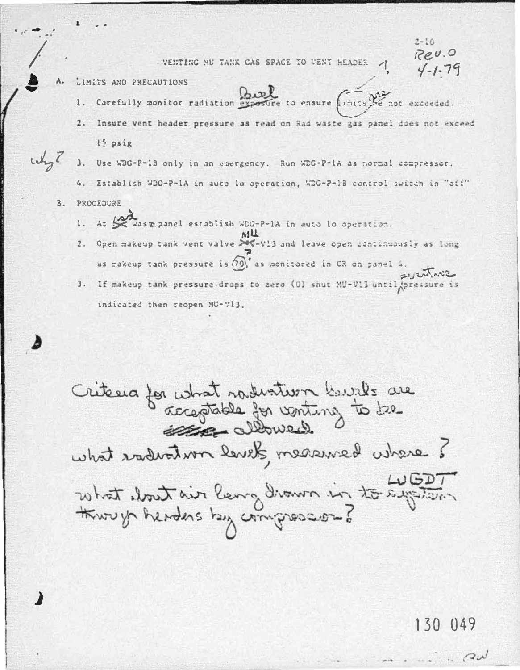VENTING MU TANK GAS SPACE TO VENT HEADER

 $2 - 10$  $BQU.0$ 

- LIMITS AND PRECAUTIONS Α.
	- Beef 1. Carefully monitor radiation exposure to ensure finits we not exceeded.
	- Insure vent header pressure as read on Rad waste gas panel does not exceed  $15$  psig
- $u_{\rm B}$  $\mathbf{1}$ . Use WDG-P-1B only in an emergency. Run WDG-P-1A as normal compressor.
	- 4. Establish WDG-P-1A in auto lo operation. WDG-P-1B control switch in "off"
	- PROCEDURE  $B<sub>1</sub>$ 
		- At the was momel establish WDG-P-1A in auto lo operation.  $1.$
		- Open makeup tank vent valve XX-V13 and leave open continuously as long  $2.$ as makeup tank pressure is  $(70)$ , as monitored in CR on panel 4.
		- 3. If makeup tank pressure drops to zero (0) shut MU-V13 until pressure is indicated then reopen MU-713.

Critecia for what radiation built are<br>comptable for ventury to be I exacte benefero developmentarbar tadu What cloud rin mont our length in the fight. through headers hay compressions

130 049

 $Q$